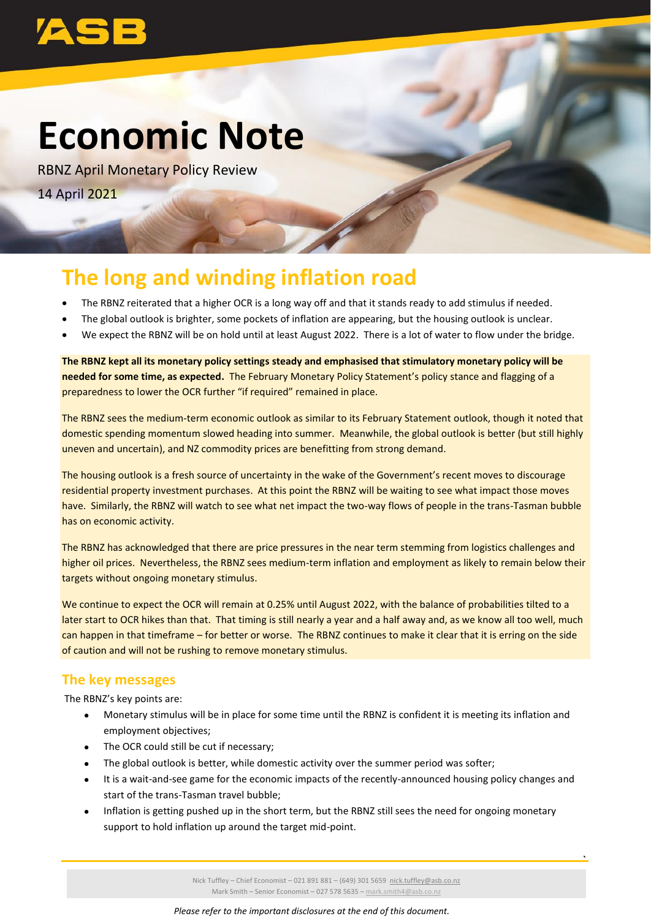

# **Economic Note**

RBNZ April Monetary Policy Review 14 April 2021

## **The long and winding inflation road**

- The RBNZ reiterated that a higher OCR is a long way off and that it stands ready to add stimulus if needed.
- The global outlook is brighter, some pockets of inflation are appearing, but the housing outlook is unclear.
- We expect the RBNZ will be on hold until at least August 2022. There is a lot of water to flow under the bridge.

**The RBNZ kept all its monetary policy settings steady and emphasised that stimulatory monetary policy will be needed for some time, as expected.** The February Monetary Policy Statement's policy stance and flagging of a preparedness to lower the OCR further "if required" remained in place.

The RBNZ sees the medium-term economic outlook as similar to its February Statement outlook, though it noted that domestic spending momentum slowed heading into summer. Meanwhile, the global outlook is better (but still highly uneven and uncertain), and NZ commodity prices are benefitting from strong demand.

The housing outlook is a fresh source of uncertainty in the wake of the Government's recent moves to discourage residential property investment purchases. At this point the RBNZ will be waiting to see what impact those moves have. Similarly, the RBNZ will watch to see what net impact the two-way flows of people in the trans-Tasman bubble has on economic activity.

The RBNZ has acknowledged that there are price pressures in the near term stemming from logistics challenges and higher oil prices. Nevertheless, the RBNZ sees medium-term inflation and employment as likely to remain below their targets without ongoing monetary stimulus.

We continue to expect the OCR will remain at 0.25% until August 2022, with the balance of probabilities tilted to a later start to OCR hikes than that. That timing is still nearly a year and a half away and, as we know all too well, much can happen in that timeframe – for better or worse. The RBNZ continues to make it clear that it is erring on the side of caution and will not be rushing to remove monetary stimulus.

### **The key messages**

The RBNZ's key points are:

- Monetary stimulus will be in place for some time until the RBNZ is confident it is meeting its inflation and employment objectives;
- The OCR could still be cut if necessary;
- The global outlook is better, while domestic activity over the summer period was softer;
- It is a wait-and-see game for the economic impacts of the recently-announced housing policy changes and start of the trans-Tasman travel bubble;
- Inflation is getting pushed up in the short term, but the RBNZ still sees the need for ongoing monetary support to hold inflation up around the target mid-point.

Nick Tuffley – Chief Economist – 021 891 881 – (649) 301 5659 [nick.tuffley@asb.co.nz](mailto:nick.tuffley@asb.co.nz)  Mark Smith – Senior Economist – 027 578 5635 – [mark.smith4@asb.co.nz](mailto:mark.smith4@asb.co.nz)

**`**

*Please refer to the important disclosures at the end of this document.*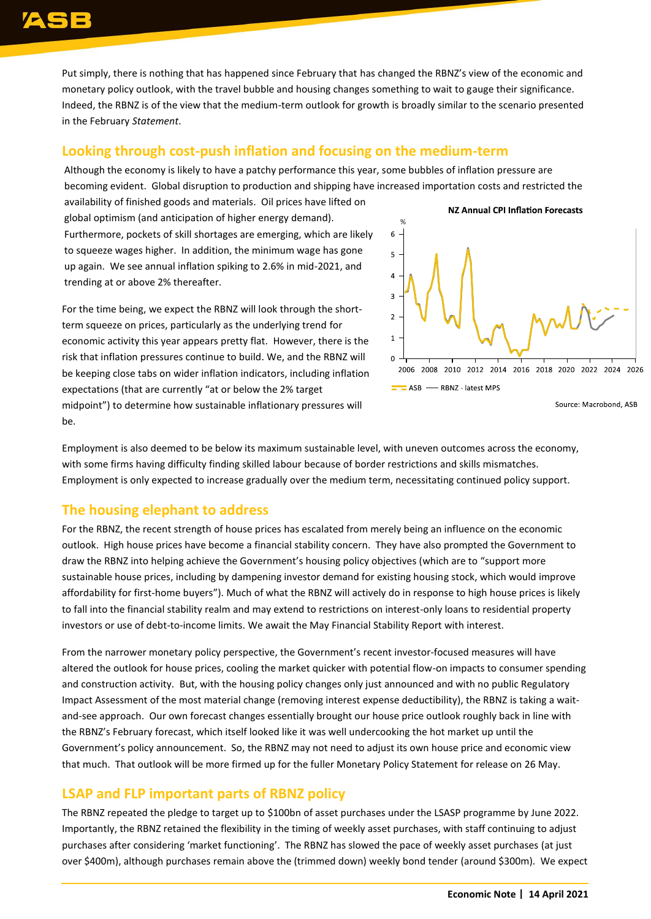Put simply, there is nothing that has happened since February that has changed the RBNZ's view of the economic and monetary policy outlook, with the travel bubble and housing changes something to wait to gauge their significance. Indeed, the RBNZ is of the view that the medium-term outlook for growth is broadly similar to the scenario presented in the February *Statement*.

#### **Looking through cost-push inflation and focusing on the medium-term**

Although the economy is likely to have a patchy performance this year, some bubbles of inflation pressure are becoming evident. Global disruption to production and shipping have increased importation costs and restricted the

availability of finished goods and materials. Oil prices have lifted on global optimism (and anticipation of higher energy demand). Furthermore, pockets of skill shortages are emerging, which are likely to squeeze wages higher. In addition, the minimum wage has gone up again. We see annual inflation spiking to 2.6% in mid-2021, and trending at or above 2% thereafter.

For the time being, we expect the RBNZ will look through the shortterm squeeze on prices, particularly as the underlying trend for economic activity this year appears pretty flat. However, there is the risk that inflation pressures continue to build. We, and the RBNZ will be keeping close tabs on wider inflation indicators, including inflation expectations (that are currently "at or below the 2% target midpoint") to determine how sustainable inflationary pressures will be.



Source: Macrobond, ASB

Employment is also deemed to be below its maximum sustainable level, with uneven outcomes across the economy, with some firms having difficulty finding skilled labour because of border restrictions and skills mismatches. Employment is only expected to increase gradually over the medium term, necessitating continued policy support.

### **The housing elephant to address**

For the RBNZ, the recent strength of house prices has escalated from merely being an influence on the economic outlook. High house prices have become a financial stability concern. They have also prompted the Government to draw the RBNZ into helping achieve the Government's housing policy objectives (which are to "support more sustainable house prices, including by dampening investor demand for existing housing stock, which would improve affordability for first-home buyers"). Much of what the RBNZ will actively do in response to high house prices is likely to fall into the financial stability realm and may extend to restrictions on interest-only loans to residential property investors or use of debt-to-income limits. We await the May Financial Stability Report with interest.

From the narrower monetary policy perspective, the Government's recent investor-focused measures will have altered the outlook for house prices, cooling the market quicker with potential flow-on impacts to consumer spending and construction activity. But, with the housing policy changes only just announced and with no public Regulatory Impact Assessment of the most material change (removing interest expense deductibility), the RBNZ is taking a waitand-see approach. Our own forecast changes essentially brought our house price outlook roughly back in line with the RBNZ's February forecast, which itself looked like it was well undercooking the hot market up until the Government's policy announcement. So, the RBNZ may not need to adjust its own house price and economic view that much. That outlook will be more firmed up for the fuller Monetary Policy Statement for release on 26 May.

### **LSAP and FLP important parts of RBNZ policy**

The RBNZ repeated the pledge to target up to \$100bn of asset purchases under the LSASP programme by June 2022. Importantly, the RBNZ retained the flexibility in the timing of weekly asset purchases, with staff continuing to adjust purchases after considering 'market functioning'. The RBNZ has slowed the pace of weekly asset purchases (at just over \$400m), although purchases remain above the (trimmed down) weekly bond tender (around \$300m). We expect